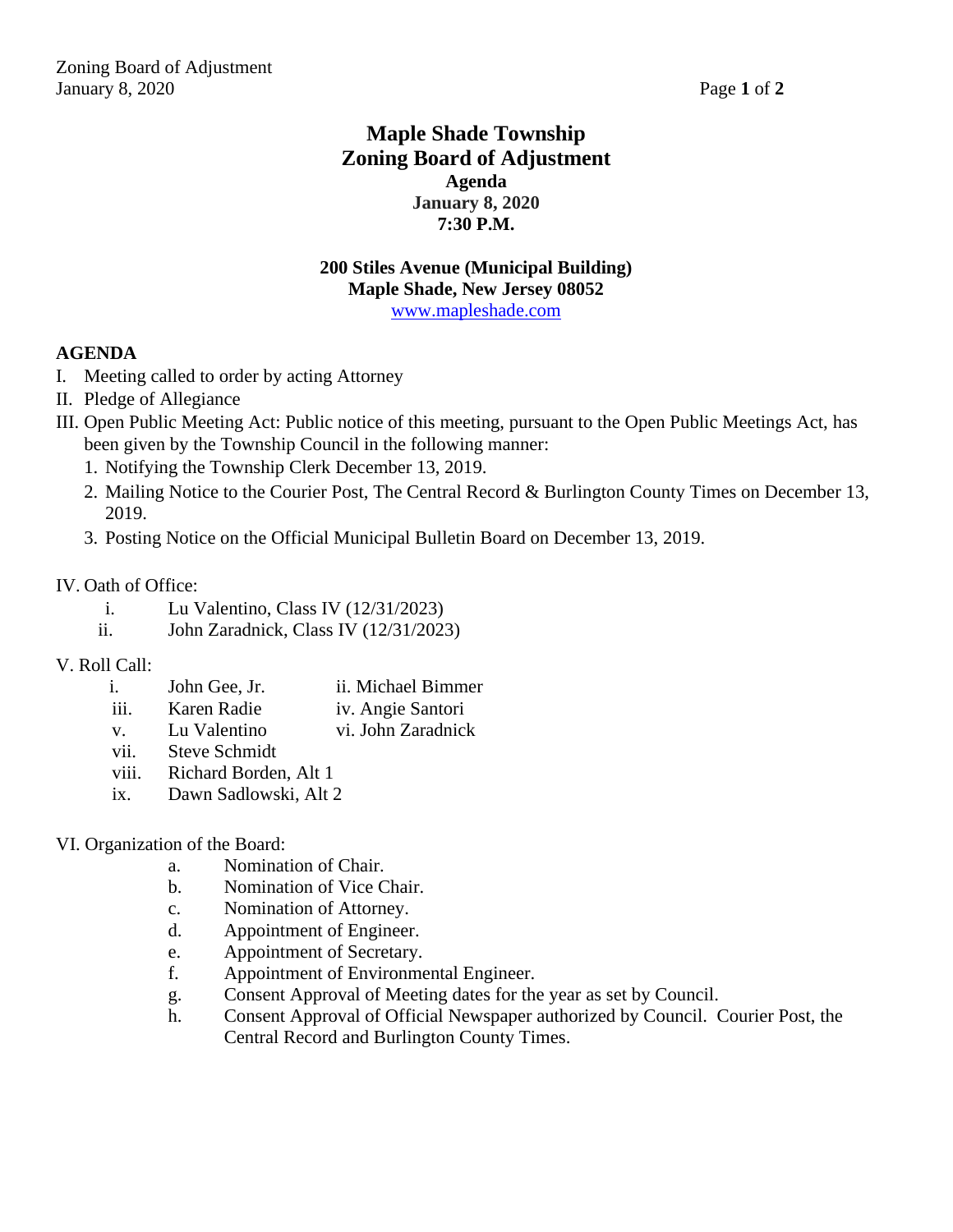## **Maple Shade Township Zoning Board of Adjustment Agenda January 8, 2020 7:30 P.M.**

#### **200 Stiles Avenue (Municipal Building) Maple Shade, New Jersey 08052** [www.mapleshade.com](http://www.mapleshade.com/)

### **AGENDA**

- I. Meeting called to order by acting Attorney
- II. Pledge of Allegiance
- III. Open Public Meeting Act: Public notice of this meeting, pursuant to the Open Public Meetings Act, has been given by the Township Council in the following manner:
	- 1. Notifying the Township Clerk December 13, 2019.
	- 2. Mailing Notice to the Courier Post, The Central Record & Burlington County Times on December 13, 2019.
	- 3. Posting Notice on the Official Municipal Bulletin Board on December 13, 2019.

#### IV. Oath of Office:

- i. Lu Valentino, Class IV (12/31/2023)
- ii. John Zaradnick, Class IV (12/31/2023)

#### V. Roll Call:

- i. John Gee, Jr. ii. Michael Bimmer iii. Karen Radie iv. Angie Santori
- v. Lu Valentino vi. John Zaradnick
- vii. Steve Schmidt
- viii. Richard Borden, Alt 1
- ix. Dawn Sadlowski, Alt 2

#### VI. Organization of the Board:

- a. Nomination of Chair.
- b. Nomination of Vice Chair.
- c. Nomination of Attorney.
- d. Appointment of Engineer.
- e. Appointment of Secretary.
- f. Appointment of Environmental Engineer.
- g. Consent Approval of Meeting dates for the year as set by Council.
- h. Consent Approval of Official Newspaper authorized by Council. Courier Post, the Central Record and Burlington County Times.